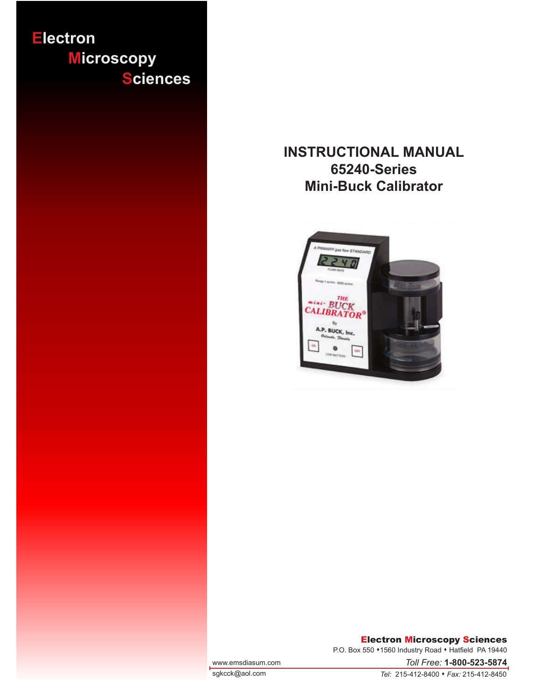

# **INSTRUCTIONAL MANUAL 65240-Series Mini-Buck Calibrator**



#### Electron Microscopy Sciences

P.O. Box 550 \*1560 Industry Road \* Hatfield PA 19440

www.emsdiasum.com

sgkcck@aol.com

*Tel:* 215-412-8400 • *Fax:* 215-412-8450

*Toll Free:* **1-800-523-5874**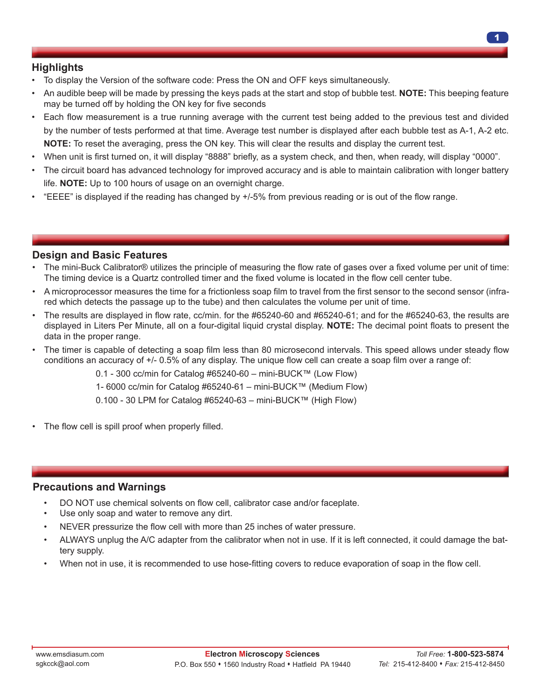# **Highlights**

- To display the Version of the software code: Press the ON and OFF keys simultaneously.
- An audible beep will be made by pressing the keys pads at the start and stop of bubble test. **NOTE:** This beeping feature may be turned off by holding the ON key for five seconds
- Each flow measurement is a true running average with the current test being added to the previous test and divided by the number of tests performed at that time. Average test number is displayed after each bubble test as A-1, A-2 etc. **NOTE:** To reset the averaging, press the ON key. This will clear the results and display the current test.
- When unit is first turned on, it will display "8888" briefly, as a system check, and then, when ready, will display "0000".
- The circuit board has advanced technology for improved accuracy and is able to maintain calibration with longer battery life. **NOTE:** Up to 100 hours of usage on an overnight charge.
- "EEEE" is displayed if the reading has changed by +/-5% from previous reading or is out of the flow range.

### **Design and Basic Features**

- The mini-Buck Calibrator® utilizes the principle of measuring the flow rate of gases over a fixed volume per unit of time: The timing device is a Quartz controlled timer and the fixed volume is located in the flow cell center tube.
- A microprocessor measures the time for a frictionless soap film to travel from the first sensor to the second sensor (infrared which detects the passage up to the tube) and then calculates the volume per unit of time.
- The results are displayed in flow rate, cc/min. for the #65240-60 and #65240-61; and for the #65240-63, the results are displayed in Liters Per Minute, all on a four-digital liquid crystal display. **NOTE:** The decimal point floats to present the data in the proper range.
- The timer is capable of detecting a soap film less than 80 microsecond intervals. This speed allows under steady flow conditions an accuracy of +/- 0.5% of any display. The unique flow cell can create a soap film over a range of:
	- 0.1 300 cc/min for Catalog #65240-60 mini-BUCK™ (Low Flow)
	- 1- 6000 cc/min for Catalog #65240-61 mini-BUCK™ (Medium Flow)
	- $0.100 30$  LPM for Catalog #65240-63 mini-BUCK™ (High Flow)
- The flow cell is spill proof when properly filled.

#### **Precautions and Warnings**

- DO NOT use chemical solvents on flow cell, calibrator case and/or faceplate.
- Use only soap and water to remove any dirt.
- NEVER pressurize the flow cell with more than 25 inches of water pressure.
- ALWAYS unplug the A/C adapter from the calibrator when not in use. If it is left connected, it could damage the battery supply.
- When not in use, it is recommended to use hose-fitting covers to reduce evaporation of soap in the flow cell.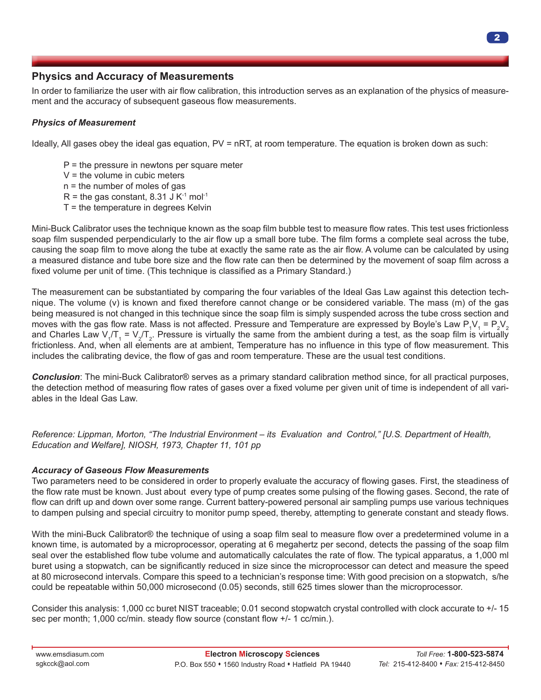# **Physics and Accuracy of Measurements**

In order to familiarize the user with air flow calibration, this introduction serves as an explanation of the physics of measurement and the accuracy of subsequent gaseous flow measurements.

#### *Physics of Measurement*

Ideally, All gases obey the ideal gas equation, PV = nRT, at room temperature. The equation is broken down as such:

- $P =$  the pressure in newtons per square meter
- $V =$  the volume in cubic meters
- n = the number of moles of gas
- $R =$  the gas constant, 8.31 J K<sup>-1</sup> mol<sup>-1</sup>
- $T =$  the temperature in degrees Kelvin

Mini-Buck Calibrator uses the technique known as the soap film bubble test to measure flow rates. This test uses frictionless soap film suspended perpendicularly to the air flow up a small bore tube. The film forms a complete seal across the tube, causing the soap film to move along the tube at exactly the same rate as the air flow. A volume can be calculated by using a measured distance and tube bore size and the flow rate can then be determined by the movement of soap film across a fixed volume per unit of time. (This technique is classified as a Primary Standard.)

The measurement can be substantiated by comparing the four variables of the Ideal Gas Law against this detection technique. The volume (v) is known and fixed therefore cannot change or be considered variable. The mass (m) of the gas being measured is not changed in this technique since the soap film is simply suspended across the tube cross section and moves with the gas flow rate. Mass is not affected. Pressure and Temperature are expressed by Boyle's Law P<sub>1</sub>V<sub>1</sub> = P<sub>2</sub>V<sub>2</sub> and Charles Law V<sub>1</sub>/T<sub>1</sub> = V<sub>2</sub>/T<sub>2</sub>. Pressure is virtually the same from the ambient during a test, as the soap film is virtually frictionless. And, when all elements are at ambient, Temperature has no influence in this type of flow measurement. This includes the calibrating device, the flow of gas and room temperature. These are the usual test conditions.

*Conclusion*: The mini-Buck Calibrator® serves as a primary standard calibration method since, for all practical purposes, the detection method of measuring flow rates of gases over a fixed volume per given unit of time is independent of all variables in the Ideal Gas Law.

*Reference: Lippman, Morton, "The Industrial Environment – its Evaluation and Control," [U.S. Department of Health, Education and Welfare], NIOSH, 1973, Chapter 11, 101 pp*

#### *Accuracy of Gaseous Flow Measurements*

Two parameters need to be considered in order to properly evaluate the accuracy of flowing gases. First, the steadiness of the flow rate must be known. Just about every type of pump creates some pulsing of the flowing gases. Second, the rate of flow can drift up and down over some range. Current battery-powered personal air sampling pumps use various techniques to dampen pulsing and special circuitry to monitor pump speed, thereby, attempting to generate constant and steady flows.

With the mini-Buck Calibrator® the technique of using a soap film seal to measure flow over a predetermined volume in a known time, is automated by a microprocessor, operating at 6 megahertz per second, detects the passing of the soap film seal over the established flow tube volume and automatically calculates the rate of flow. The typical apparatus, a 1,000 ml buret using a stopwatch, can be significantly reduced in size since the microprocessor can detect and measure the speed at 80 microsecond intervals. Compare this speed to a technician's response time: With good precision on a stopwatch, s/he could be repeatable within 50,000 microsecond (0.05) seconds, still 625 times slower than the microprocessor.

Consider this analysis: 1,000 cc buret NIST traceable; 0.01 second stopwatch crystal controlled with clock accurate to +/- 15 sec per month; 1,000 cc/min. steady flow source (constant flow +/- 1 cc/min.).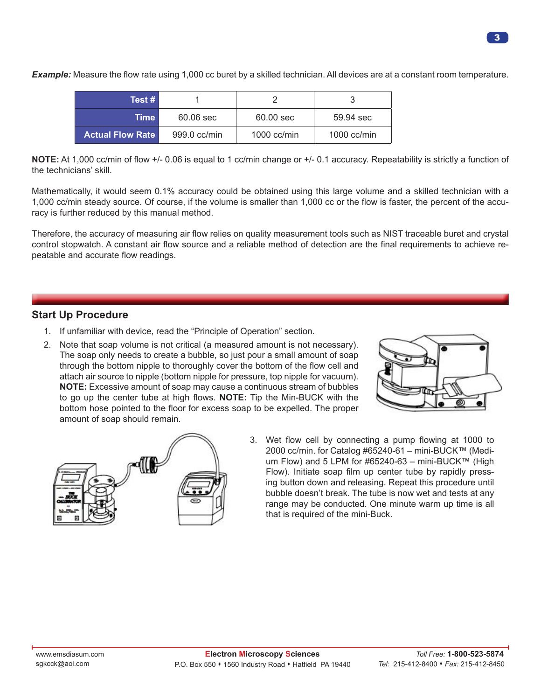| Test #                  |              |               |               |
|-------------------------|--------------|---------------|---------------|
| Time                    | 60.06 sec    | 60.00 sec     | 59.94 sec     |
| <b>Actual Flow Rate</b> | 999.0 cc/min | $1000$ cc/min | 1000 $cc/min$ |

*Example:* Measure the flow rate using 1,000 cc buret by a skilled technician. All devices are at a constant room temperature.

**NOTE:** At 1,000 cc/min of flow +/- 0.06 is equal to 1 cc/min change or +/- 0.1 accuracy. Repeatability is strictly a function of the technicians' skill.

Mathematically, it would seem 0.1% accuracy could be obtained using this large volume and a skilled technician with a 1,000 cc/min steady source. Of course, if the volume is smaller than 1,000 cc or the flow is faster, the percent of the accuracy is further reduced by this manual method.

Therefore, the accuracy of measuring air flow relies on quality measurement tools such as NIST traceable buret and crystal control stopwatch. A constant air flow source and a reliable method of detection are the final requirements to achieve repeatable and accurate flow readings.

### **Start Up Procedure**

- 1. If unfamiliar with device, read the "Principle of Operation" section.
- 2. Note that soap volume is not critical (a measured amount is not necessary). The soap only needs to create a bubble, so just pour a small amount of soap through the bottom nipple to thoroughly cover the bottom of the flow cell and attach air source to nipple (bottom nipple for pressure, top nipple for vacuum). **NOTE:** Excessive amount of soap may cause a continuous stream of bubbles to go up the center tube at high flows. **NOTE:** Tip the Min-BUCK with the bottom hose pointed to the floor for excess soap to be expelled. The proper amount of soap should remain.





3. Wet flow cell by connecting a pump flowing at 1000 to 2000 cc/min. for Catalog #65240-61 – mini-BUCK™ (Medium Flow) and 5 LPM for #65240-63 – mini-BUCK™ (High Flow). Initiate soap film up center tube by rapidly pressing button down and releasing. Repeat this procedure until bubble doesn't break. The tube is now wet and tests at any range may be conducted. One minute warm up time is all that is required of the mini-Buck.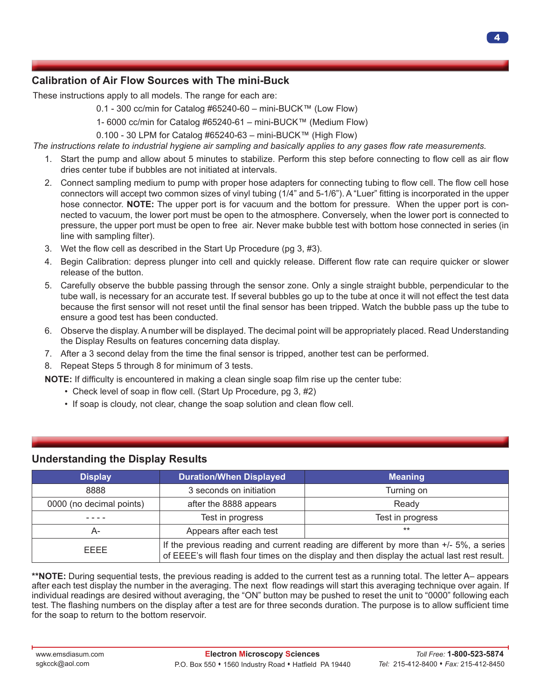# **Calibration of Air Flow Sources with The mini-Buck**

These instructions apply to all models. The range for each are:

- 0.1 300 cc/min for Catalog #65240-60 mini-BUCK™ (Low Flow)
- 1- 6000 cc/min for Catalog #65240-61 mini-BUCK™ (Medium Flow)
- 0.100 30 LPM for Catalog #65240-63 mini-BUCK™ (High Flow)

*The instructions relate to industrial hygiene air sampling and basically applies to any gases flow rate measurements.*

- 1. Start the pump and allow about 5 minutes to stabilize. Perform this step before connecting to flow cell as air flow dries center tube if bubbles are not initiated at intervals.
- 2. Connect sampling medium to pump with proper hose adapters for connecting tubing to flow cell. The flow cell hose connectors will accept two common sizes of vinyl tubing (1/4" and 5-1/6"). A "Luer" fitting is incorporated in the upper hose connector. **NOTE:** The upper port is for vacuum and the bottom for pressure. When the upper port is connected to vacuum, the lower port must be open to the atmosphere. Conversely, when the lower port is connected to pressure, the upper port must be open to free air. Never make bubble test with bottom hose connected in series (in line with sampling filter).
- 3. Wet the flow cell as described in the Start Up Procedure (pg 3, #3).
- 4. Begin Calibration: depress plunger into cell and quickly release. Different flow rate can require quicker or slower release of the button.
- 5. Carefully observe the bubble passing through the sensor zone. Only a single straight bubble, perpendicular to the tube wall, is necessary for an accurate test. If several bubbles go up to the tube at once it will not effect the test data because the first sensor will not reset until the final sensor has been tripped. Watch the bubble pass up the tube to ensure a good test has been conducted.
- 6. Observe the display. A number will be displayed. The decimal point will be appropriately placed. Read Understanding the Display Results on features concerning data display.
- 7. After a 3 second delay from the time the final sensor is tripped, another test can be performed.
- 8. Repeat Steps 5 through 8 for minimum of 3 tests.

**NOTE:** If difficulty is encountered in making a clean single soap film rise up the center tube:

- Check level of soap in flow cell. (Start Up Procedure, pg 3, #2)
- If soap is cloudy, not clear, change the soap solution and clean flow cell.

| <b>Display</b>           | <b>Duration/When Displayed</b>                                                                                                                                                          | <b>Meaning</b>   |  |
|--------------------------|-----------------------------------------------------------------------------------------------------------------------------------------------------------------------------------------|------------------|--|
| 8888                     | 3 seconds on initiation                                                                                                                                                                 | Turning on       |  |
| 0000 (no decimal points) | after the 8888 appears                                                                                                                                                                  | Ready            |  |
|                          | Test in progress                                                                                                                                                                        | Test in progress |  |
| A-                       | Appears after each test                                                                                                                                                                 | $***$            |  |
| EEEE                     | If the previous reading and current reading are different by more than +/- 5%, a series<br>of EEEE's will flash four times on the display and then display the actual last rest result. |                  |  |

## **Understanding the Display Results**

**\*\*NOTE:** During sequential tests, the previous reading is added to the current test as a running total. The letter A– appears after each test display the number in the averaging. The next flow readings will start this averaging technique over again. If individual readings are desired without averaging, the "ON" button may be pushed to reset the unit to "0000" following each test. The flashing numbers on the display after a test are for three seconds duration. The purpose is to allow sufficient time for the soap to return to the bottom reservoir.